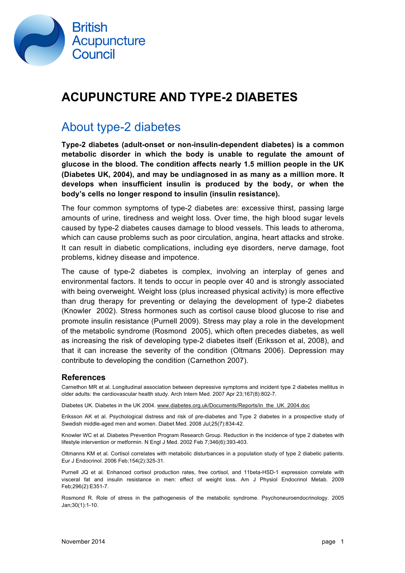

## **ACUPUNCTURE AND TYPE-2 DIABETES**

#### About type-2 diabetes

**Type-2 diabetes (adult-onset or non-insulin-dependent diabetes) is a common metabolic disorder in which the body is unable to regulate the amount of glucose in the blood. The condition affects nearly 1.5 million people in the UK (Diabetes UK, 2004), and may be undiagnosed in as many as a million more. It develops when insufficient insulin is produced by the body, or when the body's cells no longer respond to insulin (insulin resistance).**

The four common symptoms of type-2 diabetes are: excessive thirst, passing large amounts of urine, tiredness and weight loss. Over time, the high blood sugar levels caused by type-2 diabetes causes damage to blood vessels. This leads to atheroma, which can cause problems such as poor circulation, angina, heart attacks and stroke. It can result in diabetic complications, including eye disorders, nerve damage, foot problems, kidney disease and impotence.

The cause of type-2 diabetes is complex, involving an interplay of genes and environmental factors. It tends to occur in people over 40 and is strongly associated with being overweight. Weight loss (plus increased physical activity) is more effective than drug therapy for preventing or delaying the development of type-2 diabetes (Knowler 2002). Stress hormones such as cortisol cause blood glucose to rise and promote insulin resistance (Purnell 2009). Stress may play a role in the development of the metabolic syndrome (Rosmond 2005), which often precedes diabetes, as well as increasing the risk of developing type-2 diabetes itself (Eriksson et al, 2008), and that it can increase the severity of the condition (Oltmans 2006). Depression may contribute to developing the condition (Carnethon 2007).

#### **References**

Carnethon MR et al. Longitudinal association between depressive symptoms and incident type 2 diabetes mellitus in older adults: the cardiovascular health study. Arch Intern Med. 2007 Apr 23;167(8):802-7.

Diabetes UK. Diabetes in the UK 2004. www.diabetes.org.uk/Documents/Reports/in\_the\_UK\_2004.doc

Eriksson AK et al. Psychological distress and risk of pre-diabetes and Type 2 diabetes in a prospective study of Swedish middle-aged men and women. Diabet Med. 2008 Jul;25(7):834-42.

Knowler WC et al. Diabetes Prevention Program Research Group. Reduction in the incidence of type 2 diabetes with lifestyle intervention or metformin. N Engl J Med. 2002 Feb 7;346(6):393-403.

Oltmanns KM et al. Cortisol correlates with metabolic disturbances in a population study of type 2 diabetic patients. Eur J Endocrinol. 2006 Feb;154(2):325-31.

Purnell JQ et al. Enhanced cortisol production rates, free cortisol, and 11beta-HSD-1 expression correlate with visceral fat and insulin resistance in men: effect of weight loss. Am J Physiol Endocrinol Metab. 2009 Feb;296(2):E351-7.

Rosmond R. Role of stress in the pathogenesis of the metabolic syndrome. Psychoneuroendocrinology. 2005 Jan;30(1):1-10.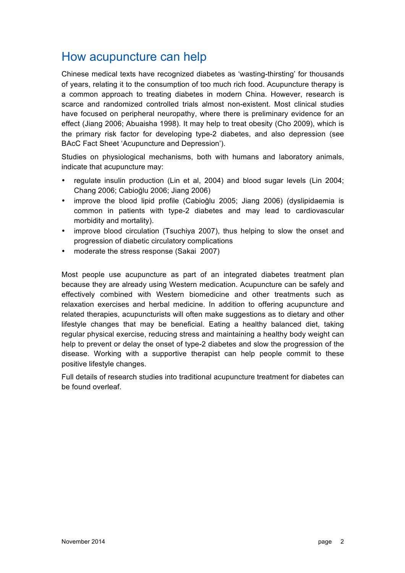### How acupuncture can help

Chinese medical texts have recognized diabetes as 'wasting-thirsting' for thousands of years, relating it to the consumption of too much rich food. Acupuncture therapy is a common approach to treating diabetes in modern China. However, research is scarce and randomized controlled trials almost non-existent. Most clinical studies have focused on peripheral neuropathy, where there is preliminary evidence for an effect (Jiang 2006; Abuaisha 1998). It may help to treat obesity (Cho 2009), which is the primary risk factor for developing type-2 diabetes, and also depression (see BAcC Fact Sheet 'Acupuncture and Depression').

Studies on physiological mechanisms, both with humans and laboratory animals, indicate that acupuncture may:

- regulate insulin production (Lin et al, 2004) and blood sugar levels (Lin 2004; Chang 2006; Cabioğlu 2006; Jiang 2006)
- improve the blood lipid profile (Cabioğlu 2005; Jiang 2006) (dyslipidaemia is common in patients with type-2 diabetes and may lead to cardiovascular morbidity and mortality).
- improve blood circulation (Tsuchiya 2007), thus helping to slow the onset and progression of diabetic circulatory complications
- moderate the stress response (Sakai 2007)

Most people use acupuncture as part of an integrated diabetes treatment plan because they are already using Western medication. Acupuncture can be safely and effectively combined with Western biomedicine and other treatments such as relaxation exercises and herbal medicine. In addition to offering acupuncture and related therapies, acupuncturists will often make suggestions as to dietary and other lifestyle changes that may be beneficial. Eating a healthy balanced diet, taking regular physical exercise, reducing stress and maintaining a healthy body weight can help to prevent or delay the onset of type-2 diabetes and slow the progression of the disease. Working with a supportive therapist can help people commit to these positive lifestyle changes.

Full details of research studies into traditional acupuncture treatment for diabetes can be found overleaf.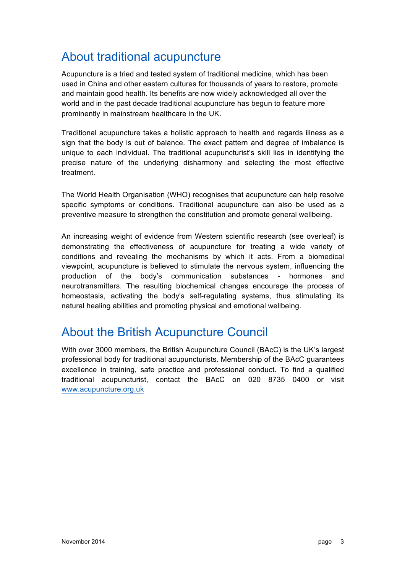## About traditional acupuncture

Acupuncture is a tried and tested system of traditional medicine, which has been used in China and other eastern cultures for thousands of years to restore, promote and maintain good health. Its benefits are now widely acknowledged all over the world and in the past decade traditional acupuncture has begun to feature more prominently in mainstream healthcare in the UK.

Traditional acupuncture takes a holistic approach to health and regards illness as a sign that the body is out of balance. The exact pattern and degree of imbalance is unique to each individual. The traditional acupuncturist's skill lies in identifying the precise nature of the underlying disharmony and selecting the most effective treatment.

The World Health Organisation (WHO) recognises that acupuncture can help resolve specific symptoms or conditions. Traditional acupuncture can also be used as a preventive measure to strengthen the constitution and promote general wellbeing.

An increasing weight of evidence from Western scientific research (see overleaf) is demonstrating the effectiveness of acupuncture for treating a wide variety of conditions and revealing the mechanisms by which it acts. From a biomedical viewpoint, acupuncture is believed to stimulate the nervous system, influencing the production of the body's communication substances - hormones and neurotransmitters. The resulting biochemical changes encourage the process of homeostasis, activating the body's self-regulating systems, thus stimulating its natural healing abilities and promoting physical and emotional wellbeing.

### About the British Acupuncture Council

With over 3000 members, the British Acupuncture Council (BAcC) is the UK's largest professional body for traditional acupuncturists. Membership of the BAcC guarantees excellence in training, safe practice and professional conduct. To find a qualified traditional acupuncturist, contact the BAcC on 020 8735 0400 or visit www.acupuncture.org.uk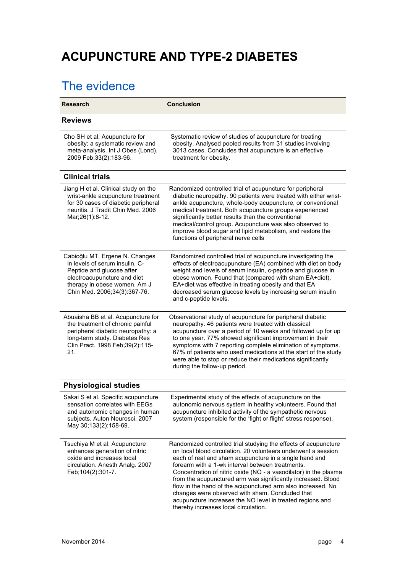# **ACUPUNCTURE AND TYPE-2 DIABETES**

## The evidence

| <b>Research</b>                                                                                                                                                                              | <b>Conclusion</b>                                                                                                                                                                                                                                                                                                                                                                                                                                                                                                                                                                                         |
|----------------------------------------------------------------------------------------------------------------------------------------------------------------------------------------------|-----------------------------------------------------------------------------------------------------------------------------------------------------------------------------------------------------------------------------------------------------------------------------------------------------------------------------------------------------------------------------------------------------------------------------------------------------------------------------------------------------------------------------------------------------------------------------------------------------------|
| <b>Reviews</b>                                                                                                                                                                               |                                                                                                                                                                                                                                                                                                                                                                                                                                                                                                                                                                                                           |
| Cho SH et al. Acupuncture for<br>obesity: a systematic review and<br>meta-analysis. Int J Obes (Lond).<br>2009 Feb;33(2):183-96.                                                             | Systematic review of studies of acupuncture for treating<br>obesity. Analysed pooled results from 31 studies involving<br>3013 cases. Concludes that acupuncture is an effective<br>treatment for obesity.                                                                                                                                                                                                                                                                                                                                                                                                |
| <b>Clinical trials</b>                                                                                                                                                                       |                                                                                                                                                                                                                                                                                                                                                                                                                                                                                                                                                                                                           |
| Jiang H et al. Clinical study on the<br>wrist-ankle acupuncture treatment<br>for 30 cases of diabetic peripheral<br>neuritis. J Tradit Chin Med. 2006<br>Mar; 26(1): 8-12.                   | Randomized controlled trial of acupuncture for peripheral<br>diabetic neuropathy. 90 patients were treated with either wrist-<br>ankle acupuncture, whole-body acupuncture, or conventional<br>medical treatment. Both acupuncture groups experienced<br>significantly better results than the conventional<br>medical/control group. Acupuncture was also observed to<br>improve blood sugar and lipid metabolism, and restore the<br>functions of peripheral nerve cells                                                                                                                                |
| Cabioğlu MT, Ergene N. Changes<br>in levels of serum insulin, C-<br>Peptide and glucose after<br>electroacupuncture and diet<br>therapy in obese women. Am J<br>Chin Med. 2006;34(3):367-76. | Randomized controlled trial of acupuncture investigating the<br>effects of electroacupuncture (EA) combined with diet on body<br>weight and levels of serum insulin, c-peptide and glucose in<br>obese women. Found that (compared with sham EA+diet),<br>EA+diet was effective in treating obesity and that EA<br>decreased serum glucose levels by increasing serum insulin<br>and c-peptide levels.                                                                                                                                                                                                    |
| Abuaisha BB et al. Acupuncture for<br>the treatment of chronic painful<br>peripheral diabetic neuropathy: a<br>long-term study. Diabetes Res<br>Clin Pract. 1998 Feb;39(2):115-<br>21.       | Observational study of acupuncture for peripheral diabetic<br>neuropathy. 46 patients were treated with classical<br>acupuncture over a period of 10 weeks and followed up for up<br>to one year. 77% showed significant improvement in their<br>symptoms with 7 reporting complete elimination of symptoms.<br>67% of patients who used medications at the start of the study<br>were able to stop or reduce their medications significantly<br>during the follow-up period.                                                                                                                             |
| <b>Physiological studies</b>                                                                                                                                                                 |                                                                                                                                                                                                                                                                                                                                                                                                                                                                                                                                                                                                           |
| Sakai S et al. Specific acupuncture<br>sensation correlates with EEGs<br>and autonomic changes in human<br>subjects. Auton Neurosci. 2007<br>May 30;133(2):158-69.                           | Experimental study of the effects of acupuncture on the<br>autonomic nervous system in healthy volunteers. Found that<br>acupuncture inhibited activity of the sympathetic nervous<br>system (responsible for the 'fight or flight' stress response).                                                                                                                                                                                                                                                                                                                                                     |
| Tsuchiya M et al. Acupuncture<br>enhances generation of nitric<br>oxide and increases local<br>circulation. Anesth Analg. 2007<br>Feb; 104(2): 301-7.                                        | Randomized controlled trial studying the effects of acupuncture<br>on local blood circulation. 20 volunteers underwent a session<br>each of real and sham acupuncture in a single hand and<br>forearm with a 1-wk interval between treatments.<br>Concentration of nitric oxide (NO - a vasodilator) in the plasma<br>from the acupunctured arm was significantly increased. Blood<br>flow in the hand of the acupunctured arm also increased. No<br>changes were observed with sham. Concluded that<br>acupuncture increases the NO level in treated regions and<br>thereby increases local circulation. |